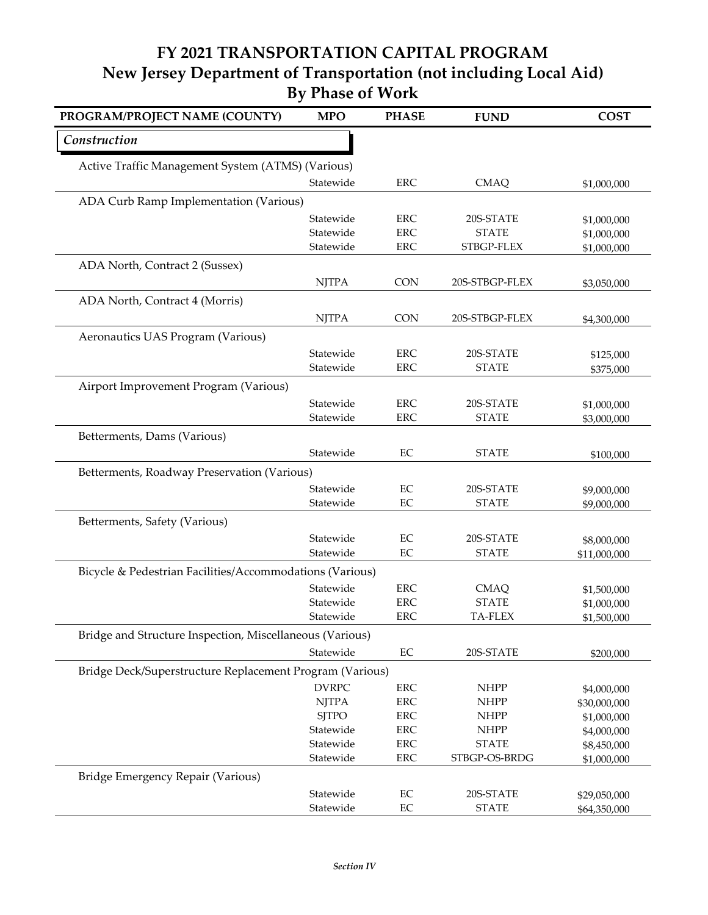| PROGRAM/PROJECT NAME (COUNTY)                            | <b>MPO</b>             | <b>PHASE</b>             | <b>FUND</b>                 | <b>COST</b>                  |
|----------------------------------------------------------|------------------------|--------------------------|-----------------------------|------------------------------|
| Construction                                             |                        |                          |                             |                              |
| Active Traffic Management System (ATMS) (Various)        |                        |                          |                             |                              |
|                                                          | Statewide              | <b>ERC</b>               | <b>CMAQ</b>                 | \$1,000,000                  |
| ADA Curb Ramp Implementation (Various)                   |                        |                          |                             |                              |
|                                                          | Statewide              | <b>ERC</b>               | 20S-STATE                   | \$1,000,000                  |
|                                                          | Statewide              | <b>ERC</b>               | <b>STATE</b>                | \$1,000,000                  |
|                                                          | Statewide              | <b>ERC</b>               | STBGP-FLEX                  | \$1,000,000                  |
| ADA North, Contract 2 (Sussex)                           |                        |                          |                             |                              |
|                                                          | <b>NJTPA</b>           | CON                      | 20S-STBGP-FLEX              | \$3,050,000                  |
| ADA North, Contract 4 (Morris)                           |                        |                          |                             |                              |
|                                                          | <b>NJTPA</b>           | <b>CON</b>               | 20S-STBGP-FLEX              | \$4,300,000                  |
| Aeronautics UAS Program (Various)                        |                        |                          |                             |                              |
|                                                          | Statewide              | <b>ERC</b>               | 20S-STATE                   | \$125,000                    |
|                                                          | Statewide              | <b>ERC</b>               | <b>STATE</b>                | \$375,000                    |
| Airport Improvement Program (Various)                    |                        |                          |                             |                              |
|                                                          | Statewide              | <b>ERC</b>               | 20S-STATE                   | \$1,000,000                  |
|                                                          | Statewide              | <b>ERC</b>               | <b>STATE</b>                | \$3,000,000                  |
| Betterments, Dams (Various)                              |                        |                          |                             |                              |
|                                                          | Statewide              | $\rm EC$                 | <b>STATE</b>                |                              |
|                                                          |                        |                          |                             | \$100,000                    |
| Betterments, Roadway Preservation (Various)              |                        |                          |                             |                              |
|                                                          | Statewide<br>Statewide | EC<br>EC                 | 20S-STATE<br><b>STATE</b>   | \$9,000,000                  |
|                                                          |                        |                          |                             | \$9,000,000                  |
| Betterments, Safety (Various)                            |                        |                          |                             |                              |
|                                                          | Statewide              | $\rm EC$                 | 20S-STATE                   | \$8,000,000                  |
|                                                          | Statewide              | EC                       | <b>STATE</b>                | \$11,000,000                 |
| Bicycle & Pedestrian Facilities/Accommodations (Various) |                        |                          |                             |                              |
|                                                          | Statewide              | <b>ERC</b>               | <b>CMAQ</b>                 | \$1,500,000                  |
|                                                          | Statewide              | <b>ERC</b>               | <b>STATE</b>                | \$1,000,000                  |
|                                                          | Statewide              | ERC                      | TA-FLEX                     | \$1,500,000                  |
| Bridge and Structure Inspection, Miscellaneous (Various) |                        |                          |                             |                              |
|                                                          | Statewide              | $\rm EC$                 | 20S-STATE                   | \$200,000                    |
| Bridge Deck/Superstructure Replacement Program (Various) |                        |                          |                             |                              |
|                                                          | <b>DVRPC</b>           | <b>ERC</b>               | <b>NHPP</b>                 | \$4,000,000                  |
|                                                          | <b>NJTPA</b>           | <b>ERC</b>               | <b>NHPP</b>                 | \$30,000,000                 |
|                                                          | <b>SJTPO</b>           | <b>ERC</b>               | <b>NHPP</b>                 | \$1,000,000                  |
|                                                          | Statewide<br>Statewide | <b>ERC</b><br><b>ERC</b> | <b>NHPP</b><br><b>STATE</b> | \$4,000,000                  |
|                                                          | Statewide              | ERC                      | STBGP-OS-BRDG               | \$8,450,000<br>\$1,000,000   |
| Bridge Emergency Repair (Various)                        |                        |                          |                             |                              |
|                                                          | Statewide              | $\rm EC$                 | 20S-STATE                   |                              |
|                                                          | Statewide              | $\rm EC$                 | <b>STATE</b>                | \$29,050,000<br>\$64,350,000 |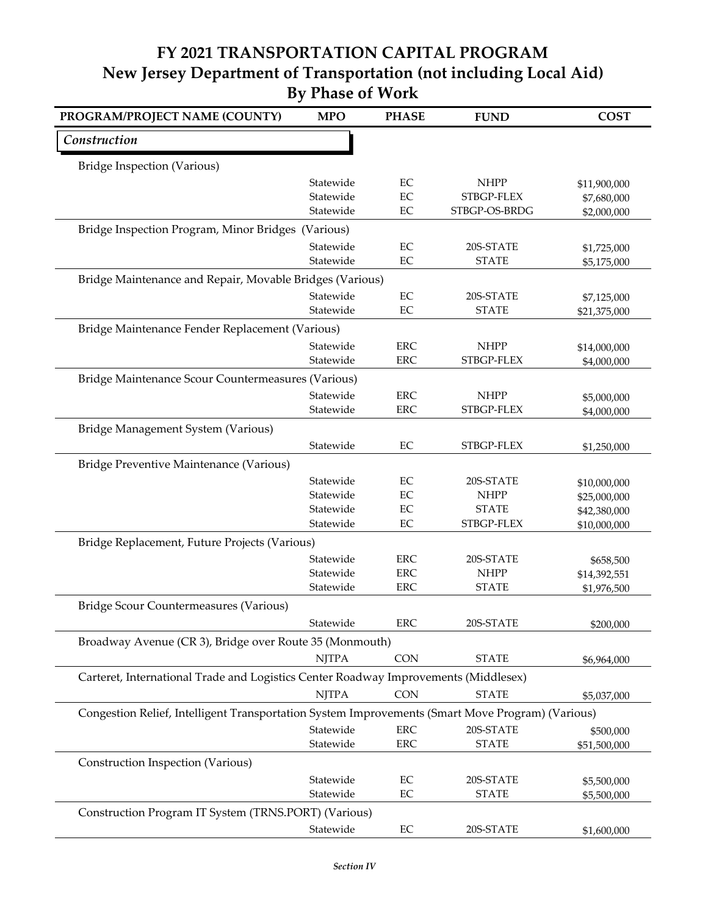| PROGRAM/PROJECT NAME (COUNTY)                                                                    | <b>MPO</b>   | <b>PHASE</b>         | <b>FUND</b>               | <b>COST</b>                  |
|--------------------------------------------------------------------------------------------------|--------------|----------------------|---------------------------|------------------------------|
| Construction                                                                                     |              |                      |                           |                              |
| <b>Bridge Inspection (Various)</b>                                                               |              |                      |                           |                              |
|                                                                                                  | Statewide    | $\rm EC$             | <b>NHPP</b>               | \$11,900,000                 |
|                                                                                                  | Statewide    | $\rm EC$             | STBGP-FLEX                | \$7,680,000                  |
|                                                                                                  | Statewide    | $\rm EC$             | STBGP-OS-BRDG             | \$2,000,000                  |
| Bridge Inspection Program, Minor Bridges (Various)                                               |              |                      |                           |                              |
|                                                                                                  | Statewide    | $\rm EC$             | 20S-STATE                 | \$1,725,000                  |
|                                                                                                  | Statewide    | EC                   | <b>STATE</b>              | \$5,175,000                  |
| Bridge Maintenance and Repair, Movable Bridges (Various)                                         |              |                      |                           |                              |
|                                                                                                  | Statewide    | EC                   | 20S-STATE                 | \$7,125,000                  |
|                                                                                                  | Statewide    | EC                   | <b>STATE</b>              | \$21,375,000                 |
| Bridge Maintenance Fender Replacement (Various)                                                  |              |                      |                           |                              |
|                                                                                                  | Statewide    | <b>ERC</b>           | <b>NHPP</b>               | \$14,000,000                 |
|                                                                                                  | Statewide    | <b>ERC</b>           | STBGP-FLEX                | \$4,000,000                  |
| Bridge Maintenance Scour Countermeasures (Various)                                               |              |                      |                           |                              |
|                                                                                                  | Statewide    | <b>ERC</b>           | <b>NHPP</b>               | \$5,000,000                  |
|                                                                                                  | Statewide    | <b>ERC</b>           | STBGP-FLEX                | \$4,000,000                  |
| Bridge Management System (Various)                                                               |              |                      |                           |                              |
|                                                                                                  | Statewide    | EC                   | STBGP-FLEX                | \$1,250,000                  |
| Bridge Preventive Maintenance (Various)                                                          |              |                      |                           |                              |
|                                                                                                  | Statewide    | EC                   | 20S-STATE                 |                              |
|                                                                                                  | Statewide    | $\rm EC$             | <b>NHPP</b>               | \$10,000,000<br>\$25,000,000 |
|                                                                                                  | Statewide    | $\rm EC$             | <b>STATE</b>              | \$42,380,000                 |
|                                                                                                  | Statewide    | $\rm EC$             | STBGP-FLEX                | \$10,000,000                 |
| Bridge Replacement, Future Projects (Various)                                                    |              |                      |                           |                              |
|                                                                                                  | Statewide    | <b>ERC</b>           | 20S-STATE                 | \$658,500                    |
|                                                                                                  | Statewide    | <b>ERC</b>           | <b>NHPP</b>               | \$14,392,551                 |
|                                                                                                  | Statewide    | <b>ERC</b>           | <b>STATE</b>              | \$1,976,500                  |
| Bridge Scour Countermeasures (Various)                                                           |              |                      |                           |                              |
|                                                                                                  | Statewide    | <b>ERC</b>           | 20S-STATE                 | \$200,000                    |
| Broadway Avenue (CR 3), Bridge over Route 35 (Monmouth)                                          |              |                      |                           |                              |
|                                                                                                  | <b>NJTPA</b> | <b>CON</b>           | <b>STATE</b>              | \$6,964,000                  |
| Carteret, International Trade and Logistics Center Roadway Improvements (Middlesex)              |              |                      |                           |                              |
|                                                                                                  | <b>NJTPA</b> | <b>CON</b>           | <b>STATE</b>              | \$5,037,000                  |
| Congestion Relief, Intelligent Transportation System Improvements (Smart Move Program) (Various) |              |                      |                           |                              |
|                                                                                                  | Statewide    | <b>ERC</b>           | 20S-STATE                 |                              |
|                                                                                                  | Statewide    | ERC                  | <b>STATE</b>              | \$500,000<br>\$51,500,000    |
| Construction Inspection (Various)                                                                |              |                      |                           |                              |
|                                                                                                  |              |                      |                           |                              |
|                                                                                                  | Statewide    | $\rm EC$<br>$\rm EC$ | 20S-STATE<br><b>STATE</b> | \$5,500,000                  |
|                                                                                                  | Statewide    |                      |                           | \$5,500,000                  |
| Construction Program IT System (TRNS.PORT) (Various)                                             |              |                      |                           |                              |
|                                                                                                  | Statewide    | $\rm EC$             | 20S-STATE                 | \$1,600,000                  |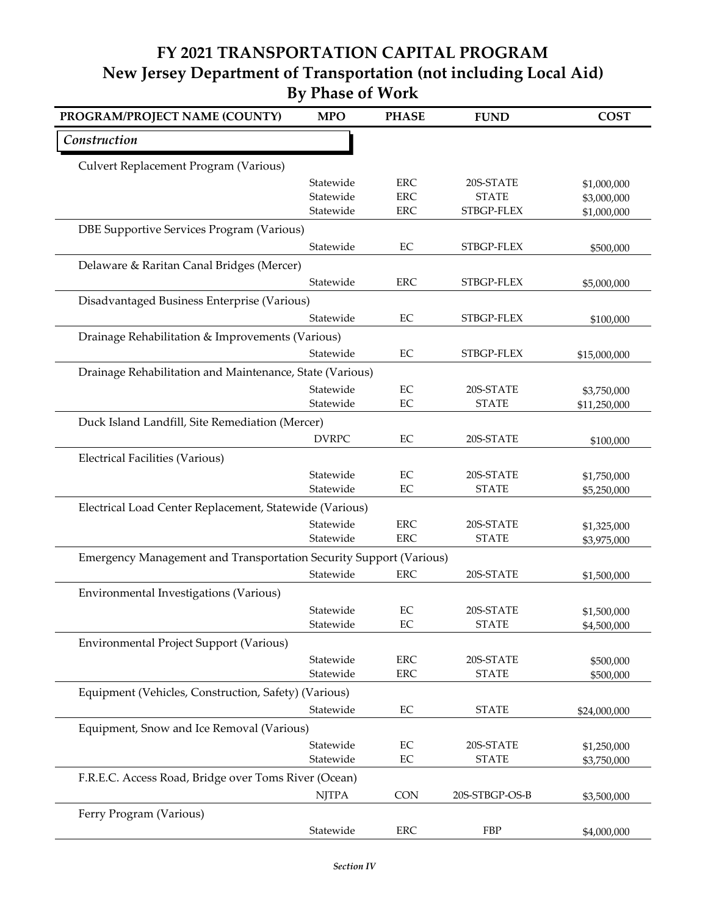| Construction<br>Culvert Replacement Program (Various)<br><b>ERC</b><br>Statewide<br>20S-STATE<br>\$1,000,000<br><b>ERC</b><br>Statewide<br><b>STATE</b><br>\$3,000,000<br><b>ERC</b><br>STBGP-FLEX<br>Statewide<br>\$1,000,000<br>DBE Supportive Services Program (Various)<br>Statewide<br>$\rm EC$<br>STBGP-FLEX<br>\$500,000<br>Delaware & Raritan Canal Bridges (Mercer)<br><b>ERC</b><br>Statewide<br>STBGP-FLEX<br>\$5,000,000<br>Disadvantaged Business Enterprise (Various)<br>Statewide<br>EC<br>STBGP-FLEX<br>\$100,000<br>Drainage Rehabilitation & Improvements (Various)<br>EC<br>Statewide<br>STBGP-FLEX<br>\$15,000,000<br>Drainage Rehabilitation and Maintenance, State (Various)<br>Statewide<br>$\rm EC$<br>20S-STATE<br>\$3,750,000<br>Statewide<br>EC<br><b>STATE</b><br>\$11,250,000<br>Duck Island Landfill, Site Remediation (Mercer)<br><b>DVRPC</b><br>$\rm EC$<br>20S-STATE<br>\$100,000<br><b>Electrical Facilities (Various)</b><br>Statewide<br>EC<br>20S-STATE<br>\$1,750,000<br>Statewide<br>EC<br><b>STATE</b><br>\$5,250,000<br>Electrical Load Center Replacement, Statewide (Various)<br><b>ERC</b><br>Statewide<br>20S-STATE<br>\$1,325,000<br><b>ERC</b><br><b>STATE</b><br>Statewide<br>\$3,975,000<br>Emergency Management and Transportation Security Support (Various)<br>Statewide<br><b>ERC</b><br>20S-STATE<br>\$1,500,000<br>Environmental Investigations (Various)<br>Statewide<br>EC<br>20S-STATE<br>\$1,500,000<br>Statewide<br>EC<br><b>STATE</b><br>\$4,500,000<br>Environmental Project Support (Various)<br>ERC<br>Statewide<br>20S-STATE<br>\$500,000<br>Statewide<br><b>ERC</b><br><b>STATE</b><br>\$500,000<br>Equipment (Vehicles, Construction, Safety) (Various)<br>$\rm EC$<br>Statewide<br><b>STATE</b><br>\$24,000,000<br>Equipment, Snow and Ice Removal (Various)<br>Statewide<br>$\rm EC$<br>20S-STATE<br>\$1,250,000 | PROGRAM/PROJECT NAME (COUNTY) | <b>MPO</b> | <b>PHASE</b> | <b>FUND</b>  | <b>COST</b> |
|----------------------------------------------------------------------------------------------------------------------------------------------------------------------------------------------------------------------------------------------------------------------------------------------------------------------------------------------------------------------------------------------------------------------------------------------------------------------------------------------------------------------------------------------------------------------------------------------------------------------------------------------------------------------------------------------------------------------------------------------------------------------------------------------------------------------------------------------------------------------------------------------------------------------------------------------------------------------------------------------------------------------------------------------------------------------------------------------------------------------------------------------------------------------------------------------------------------------------------------------------------------------------------------------------------------------------------------------------------------------------------------------------------------------------------------------------------------------------------------------------------------------------------------------------------------------------------------------------------------------------------------------------------------------------------------------------------------------------------------------------------------------------------------------------------------------------------------------------------------------------------------|-------------------------------|------------|--------------|--------------|-------------|
|                                                                                                                                                                                                                                                                                                                                                                                                                                                                                                                                                                                                                                                                                                                                                                                                                                                                                                                                                                                                                                                                                                                                                                                                                                                                                                                                                                                                                                                                                                                                                                                                                                                                                                                                                                                                                                                                                        |                               |            |              |              |             |
|                                                                                                                                                                                                                                                                                                                                                                                                                                                                                                                                                                                                                                                                                                                                                                                                                                                                                                                                                                                                                                                                                                                                                                                                                                                                                                                                                                                                                                                                                                                                                                                                                                                                                                                                                                                                                                                                                        |                               |            |              |              |             |
|                                                                                                                                                                                                                                                                                                                                                                                                                                                                                                                                                                                                                                                                                                                                                                                                                                                                                                                                                                                                                                                                                                                                                                                                                                                                                                                                                                                                                                                                                                                                                                                                                                                                                                                                                                                                                                                                                        |                               |            |              |              |             |
|                                                                                                                                                                                                                                                                                                                                                                                                                                                                                                                                                                                                                                                                                                                                                                                                                                                                                                                                                                                                                                                                                                                                                                                                                                                                                                                                                                                                                                                                                                                                                                                                                                                                                                                                                                                                                                                                                        |                               |            |              |              |             |
|                                                                                                                                                                                                                                                                                                                                                                                                                                                                                                                                                                                                                                                                                                                                                                                                                                                                                                                                                                                                                                                                                                                                                                                                                                                                                                                                                                                                                                                                                                                                                                                                                                                                                                                                                                                                                                                                                        |                               |            |              |              |             |
|                                                                                                                                                                                                                                                                                                                                                                                                                                                                                                                                                                                                                                                                                                                                                                                                                                                                                                                                                                                                                                                                                                                                                                                                                                                                                                                                                                                                                                                                                                                                                                                                                                                                                                                                                                                                                                                                                        |                               |            |              |              |             |
|                                                                                                                                                                                                                                                                                                                                                                                                                                                                                                                                                                                                                                                                                                                                                                                                                                                                                                                                                                                                                                                                                                                                                                                                                                                                                                                                                                                                                                                                                                                                                                                                                                                                                                                                                                                                                                                                                        |                               |            |              |              |             |
|                                                                                                                                                                                                                                                                                                                                                                                                                                                                                                                                                                                                                                                                                                                                                                                                                                                                                                                                                                                                                                                                                                                                                                                                                                                                                                                                                                                                                                                                                                                                                                                                                                                                                                                                                                                                                                                                                        |                               |            |              |              |             |
|                                                                                                                                                                                                                                                                                                                                                                                                                                                                                                                                                                                                                                                                                                                                                                                                                                                                                                                                                                                                                                                                                                                                                                                                                                                                                                                                                                                                                                                                                                                                                                                                                                                                                                                                                                                                                                                                                        |                               |            |              |              |             |
|                                                                                                                                                                                                                                                                                                                                                                                                                                                                                                                                                                                                                                                                                                                                                                                                                                                                                                                                                                                                                                                                                                                                                                                                                                                                                                                                                                                                                                                                                                                                                                                                                                                                                                                                                                                                                                                                                        |                               |            |              |              |             |
|                                                                                                                                                                                                                                                                                                                                                                                                                                                                                                                                                                                                                                                                                                                                                                                                                                                                                                                                                                                                                                                                                                                                                                                                                                                                                                                                                                                                                                                                                                                                                                                                                                                                                                                                                                                                                                                                                        |                               |            |              |              |             |
|                                                                                                                                                                                                                                                                                                                                                                                                                                                                                                                                                                                                                                                                                                                                                                                                                                                                                                                                                                                                                                                                                                                                                                                                                                                                                                                                                                                                                                                                                                                                                                                                                                                                                                                                                                                                                                                                                        |                               |            |              |              |             |
|                                                                                                                                                                                                                                                                                                                                                                                                                                                                                                                                                                                                                                                                                                                                                                                                                                                                                                                                                                                                                                                                                                                                                                                                                                                                                                                                                                                                                                                                                                                                                                                                                                                                                                                                                                                                                                                                                        |                               |            |              |              |             |
|                                                                                                                                                                                                                                                                                                                                                                                                                                                                                                                                                                                                                                                                                                                                                                                                                                                                                                                                                                                                                                                                                                                                                                                                                                                                                                                                                                                                                                                                                                                                                                                                                                                                                                                                                                                                                                                                                        |                               |            |              |              |             |
|                                                                                                                                                                                                                                                                                                                                                                                                                                                                                                                                                                                                                                                                                                                                                                                                                                                                                                                                                                                                                                                                                                                                                                                                                                                                                                                                                                                                                                                                                                                                                                                                                                                                                                                                                                                                                                                                                        |                               |            |              |              |             |
|                                                                                                                                                                                                                                                                                                                                                                                                                                                                                                                                                                                                                                                                                                                                                                                                                                                                                                                                                                                                                                                                                                                                                                                                                                                                                                                                                                                                                                                                                                                                                                                                                                                                                                                                                                                                                                                                                        |                               |            |              |              |             |
|                                                                                                                                                                                                                                                                                                                                                                                                                                                                                                                                                                                                                                                                                                                                                                                                                                                                                                                                                                                                                                                                                                                                                                                                                                                                                                                                                                                                                                                                                                                                                                                                                                                                                                                                                                                                                                                                                        |                               |            |              |              |             |
|                                                                                                                                                                                                                                                                                                                                                                                                                                                                                                                                                                                                                                                                                                                                                                                                                                                                                                                                                                                                                                                                                                                                                                                                                                                                                                                                                                                                                                                                                                                                                                                                                                                                                                                                                                                                                                                                                        |                               |            |              |              |             |
|                                                                                                                                                                                                                                                                                                                                                                                                                                                                                                                                                                                                                                                                                                                                                                                                                                                                                                                                                                                                                                                                                                                                                                                                                                                                                                                                                                                                                                                                                                                                                                                                                                                                                                                                                                                                                                                                                        |                               |            |              |              |             |
|                                                                                                                                                                                                                                                                                                                                                                                                                                                                                                                                                                                                                                                                                                                                                                                                                                                                                                                                                                                                                                                                                                                                                                                                                                                                                                                                                                                                                                                                                                                                                                                                                                                                                                                                                                                                                                                                                        |                               |            |              |              |             |
|                                                                                                                                                                                                                                                                                                                                                                                                                                                                                                                                                                                                                                                                                                                                                                                                                                                                                                                                                                                                                                                                                                                                                                                                                                                                                                                                                                                                                                                                                                                                                                                                                                                                                                                                                                                                                                                                                        |                               |            |              |              |             |
|                                                                                                                                                                                                                                                                                                                                                                                                                                                                                                                                                                                                                                                                                                                                                                                                                                                                                                                                                                                                                                                                                                                                                                                                                                                                                                                                                                                                                                                                                                                                                                                                                                                                                                                                                                                                                                                                                        |                               |            |              |              |             |
|                                                                                                                                                                                                                                                                                                                                                                                                                                                                                                                                                                                                                                                                                                                                                                                                                                                                                                                                                                                                                                                                                                                                                                                                                                                                                                                                                                                                                                                                                                                                                                                                                                                                                                                                                                                                                                                                                        |                               |            |              |              |             |
|                                                                                                                                                                                                                                                                                                                                                                                                                                                                                                                                                                                                                                                                                                                                                                                                                                                                                                                                                                                                                                                                                                                                                                                                                                                                                                                                                                                                                                                                                                                                                                                                                                                                                                                                                                                                                                                                                        |                               |            |              |              |             |
|                                                                                                                                                                                                                                                                                                                                                                                                                                                                                                                                                                                                                                                                                                                                                                                                                                                                                                                                                                                                                                                                                                                                                                                                                                                                                                                                                                                                                                                                                                                                                                                                                                                                                                                                                                                                                                                                                        |                               |            |              |              |             |
|                                                                                                                                                                                                                                                                                                                                                                                                                                                                                                                                                                                                                                                                                                                                                                                                                                                                                                                                                                                                                                                                                                                                                                                                                                                                                                                                                                                                                                                                                                                                                                                                                                                                                                                                                                                                                                                                                        |                               |            |              |              |             |
|                                                                                                                                                                                                                                                                                                                                                                                                                                                                                                                                                                                                                                                                                                                                                                                                                                                                                                                                                                                                                                                                                                                                                                                                                                                                                                                                                                                                                                                                                                                                                                                                                                                                                                                                                                                                                                                                                        |                               |            |              |              |             |
|                                                                                                                                                                                                                                                                                                                                                                                                                                                                                                                                                                                                                                                                                                                                                                                                                                                                                                                                                                                                                                                                                                                                                                                                                                                                                                                                                                                                                                                                                                                                                                                                                                                                                                                                                                                                                                                                                        |                               |            |              |              |             |
|                                                                                                                                                                                                                                                                                                                                                                                                                                                                                                                                                                                                                                                                                                                                                                                                                                                                                                                                                                                                                                                                                                                                                                                                                                                                                                                                                                                                                                                                                                                                                                                                                                                                                                                                                                                                                                                                                        |                               |            |              |              |             |
|                                                                                                                                                                                                                                                                                                                                                                                                                                                                                                                                                                                                                                                                                                                                                                                                                                                                                                                                                                                                                                                                                                                                                                                                                                                                                                                                                                                                                                                                                                                                                                                                                                                                                                                                                                                                                                                                                        |                               |            |              |              |             |
|                                                                                                                                                                                                                                                                                                                                                                                                                                                                                                                                                                                                                                                                                                                                                                                                                                                                                                                                                                                                                                                                                                                                                                                                                                                                                                                                                                                                                                                                                                                                                                                                                                                                                                                                                                                                                                                                                        |                               |            |              |              |             |
|                                                                                                                                                                                                                                                                                                                                                                                                                                                                                                                                                                                                                                                                                                                                                                                                                                                                                                                                                                                                                                                                                                                                                                                                                                                                                                                                                                                                                                                                                                                                                                                                                                                                                                                                                                                                                                                                                        |                               |            |              |              |             |
|                                                                                                                                                                                                                                                                                                                                                                                                                                                                                                                                                                                                                                                                                                                                                                                                                                                                                                                                                                                                                                                                                                                                                                                                                                                                                                                                                                                                                                                                                                                                                                                                                                                                                                                                                                                                                                                                                        |                               |            |              |              |             |
|                                                                                                                                                                                                                                                                                                                                                                                                                                                                                                                                                                                                                                                                                                                                                                                                                                                                                                                                                                                                                                                                                                                                                                                                                                                                                                                                                                                                                                                                                                                                                                                                                                                                                                                                                                                                                                                                                        |                               |            |              |              |             |
|                                                                                                                                                                                                                                                                                                                                                                                                                                                                                                                                                                                                                                                                                                                                                                                                                                                                                                                                                                                                                                                                                                                                                                                                                                                                                                                                                                                                                                                                                                                                                                                                                                                                                                                                                                                                                                                                                        |                               |            |              |              |             |
|                                                                                                                                                                                                                                                                                                                                                                                                                                                                                                                                                                                                                                                                                                                                                                                                                                                                                                                                                                                                                                                                                                                                                                                                                                                                                                                                                                                                                                                                                                                                                                                                                                                                                                                                                                                                                                                                                        |                               |            |              |              |             |
|                                                                                                                                                                                                                                                                                                                                                                                                                                                                                                                                                                                                                                                                                                                                                                                                                                                                                                                                                                                                                                                                                                                                                                                                                                                                                                                                                                                                                                                                                                                                                                                                                                                                                                                                                                                                                                                                                        |                               |            |              |              |             |
|                                                                                                                                                                                                                                                                                                                                                                                                                                                                                                                                                                                                                                                                                                                                                                                                                                                                                                                                                                                                                                                                                                                                                                                                                                                                                                                                                                                                                                                                                                                                                                                                                                                                                                                                                                                                                                                                                        |                               | Statewide  | EC           | <b>STATE</b> | \$3,750,000 |
| F.R.E.C. Access Road, Bridge over Toms River (Ocean)                                                                                                                                                                                                                                                                                                                                                                                                                                                                                                                                                                                                                                                                                                                                                                                                                                                                                                                                                                                                                                                                                                                                                                                                                                                                                                                                                                                                                                                                                                                                                                                                                                                                                                                                                                                                                                   |                               |            |              |              |             |
| <b>NJTPA</b><br><b>CON</b><br>20S-STBGP-OS-B<br>\$3,500,000                                                                                                                                                                                                                                                                                                                                                                                                                                                                                                                                                                                                                                                                                                                                                                                                                                                                                                                                                                                                                                                                                                                                                                                                                                                                                                                                                                                                                                                                                                                                                                                                                                                                                                                                                                                                                            |                               |            |              |              |             |
| Ferry Program (Various)                                                                                                                                                                                                                                                                                                                                                                                                                                                                                                                                                                                                                                                                                                                                                                                                                                                                                                                                                                                                                                                                                                                                                                                                                                                                                                                                                                                                                                                                                                                                                                                                                                                                                                                                                                                                                                                                |                               |            |              |              |             |
| Statewide<br>ERC<br>FBP<br>\$4,000,000                                                                                                                                                                                                                                                                                                                                                                                                                                                                                                                                                                                                                                                                                                                                                                                                                                                                                                                                                                                                                                                                                                                                                                                                                                                                                                                                                                                                                                                                                                                                                                                                                                                                                                                                                                                                                                                 |                               |            |              |              |             |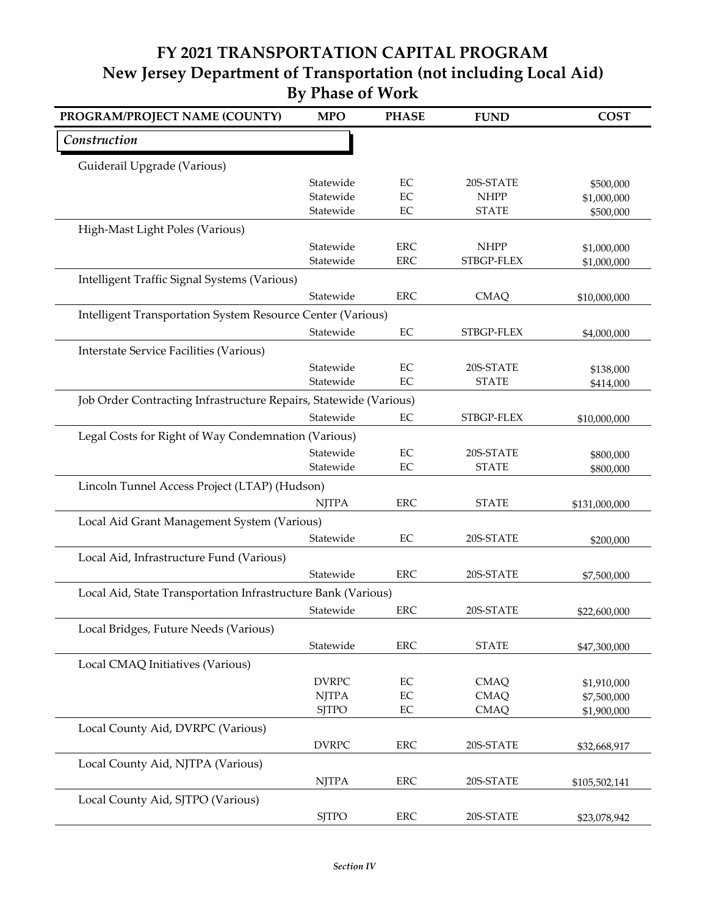| PROGRAM/PROJECT NAME (COUNTY)                                     | <b>MPO</b>                   | <b>PHASE</b>   | <b>FUND</b>                | <b>COST</b>   |
|-------------------------------------------------------------------|------------------------------|----------------|----------------------------|---------------|
| Construction                                                      |                              |                |                            |               |
| Guiderail Upgrade (Various)                                       |                              |                |                            |               |
|                                                                   | Statewide                    | EC             | 20S-STATE                  | \$500,000     |
|                                                                   | Statewide                    | EC             | <b>NHPP</b>                | \$1,000,000   |
|                                                                   | Statewide                    | EC             | <b>STATE</b>               | \$500,000     |
| High-Mast Light Poles (Various)                                   |                              |                |                            |               |
|                                                                   | Statewide                    | <b>ERC</b>     | <b>NHPP</b>                | \$1,000,000   |
|                                                                   | Statewide                    | <b>ERC</b>     | STBGP-FLEX                 | \$1,000,000   |
| Intelligent Traffic Signal Systems (Various)                      |                              |                |                            |               |
|                                                                   | Statewide                    | <b>ERC</b>     | <b>CMAQ</b>                | \$10,000,000  |
| Intelligent Transportation System Resource Center (Various)       |                              |                |                            |               |
|                                                                   | Statewide                    | EC             | STBGP-FLEX                 | \$4,000,000   |
| <b>Interstate Service Facilities (Various)</b>                    |                              |                |                            |               |
|                                                                   | Statewide                    | EC             | 20S-STATE                  | \$138,000     |
|                                                                   | Statewide                    | EC             | <b>STATE</b>               | \$414,000     |
| Job Order Contracting Infrastructure Repairs, Statewide (Various) |                              |                |                            |               |
|                                                                   | Statewide                    | EC             | STBGP-FLEX                 | \$10,000,000  |
| Legal Costs for Right of Way Condemnation (Various)               |                              |                |                            |               |
|                                                                   | Statewide                    | EC             | 20S-STATE                  | \$800,000     |
|                                                                   | Statewide                    | EC             | <b>STATE</b>               | \$800,000     |
| Lincoln Tunnel Access Project (LTAP) (Hudson)                     |                              |                |                            |               |
|                                                                   | <b>NJTPA</b>                 | <b>ERC</b>     | <b>STATE</b>               | \$131,000,000 |
| Local Aid Grant Management System (Various)                       |                              |                |                            |               |
|                                                                   | Statewide                    | EC             | 20S-STATE                  | \$200,000     |
| Local Aid, Infrastructure Fund (Various)                          |                              |                |                            |               |
|                                                                   | Statewide                    | <b>ERC</b>     | 20S-STATE                  | \$7,500,000   |
| Local Aid, State Transportation Infrastructure Bank (Various)     |                              |                |                            |               |
|                                                                   | Statewide                    | <b>ERC</b>     | 20S-STATE                  |               |
|                                                                   |                              |                |                            | \$22,600,000  |
| Local Bridges, Future Needs (Various)                             |                              |                |                            |               |
|                                                                   | Statewide                    | <b>ERC</b>     | <b>STATE</b>               | \$47,300,000  |
| Local CMAQ Initiatives (Various)                                  |                              |                |                            |               |
|                                                                   | <b>DVRPC</b>                 | $\rm EC$       | <b>CMAQ</b>                | \$1,910,000   |
|                                                                   | <b>NJTPA</b><br><b>SJTPO</b> | EC<br>$\rm EC$ | <b>CMAQ</b><br><b>CMAQ</b> | \$7,500,000   |
|                                                                   |                              |                |                            | \$1,900,000   |
| Local County Aid, DVRPC (Various)                                 |                              |                |                            |               |
|                                                                   | <b>DVRPC</b>                 | ERC            | 20S-STATE                  | \$32,668,917  |
| Local County Aid, NJTPA (Various)                                 |                              |                |                            |               |
|                                                                   | <b>NJTPA</b>                 | ERC            | 20S-STATE                  | \$105,502,141 |
| Local County Aid, SJTPO (Various)                                 |                              |                |                            |               |
|                                                                   | <b>SJTPO</b>                 | ERC            | 20S-STATE                  | \$23,078,942  |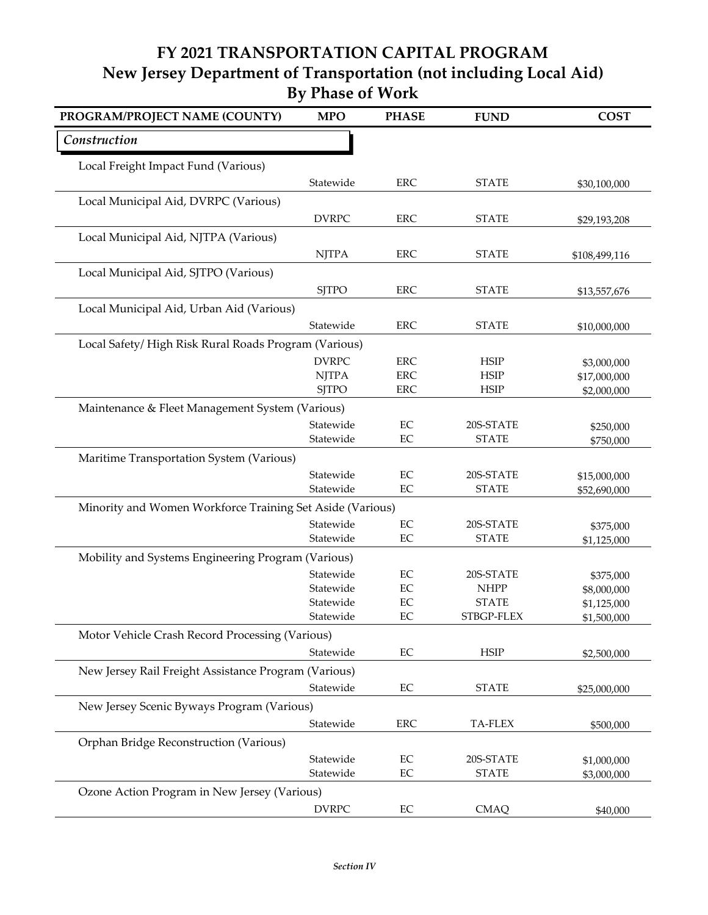| PROGRAM/PROJECT NAME (COUNTY)                             | <b>MPO</b>             | <b>PHASE</b>   | <b>FUND</b>               | <b>COST</b>              |
|-----------------------------------------------------------|------------------------|----------------|---------------------------|--------------------------|
| Construction                                              |                        |                |                           |                          |
| Local Freight Impact Fund (Various)                       |                        |                |                           |                          |
|                                                           | Statewide              | <b>ERC</b>     | <b>STATE</b>              | \$30,100,000             |
| Local Municipal Aid, DVRPC (Various)                      |                        |                |                           |                          |
|                                                           | <b>DVRPC</b>           | ${\rm ERC}$    | <b>STATE</b>              | \$29,193,208             |
| Local Municipal Aid, NJTPA (Various)                      |                        |                |                           |                          |
|                                                           | <b>NJTPA</b>           | <b>ERC</b>     | <b>STATE</b>              | \$108,499,116            |
| Local Municipal Aid, SJTPO (Various)                      |                        |                |                           |                          |
|                                                           | <b>SJTPO</b>           | ${\rm ERC}$    | <b>STATE</b>              | \$13,557,676             |
| Local Municipal Aid, Urban Aid (Various)                  |                        |                |                           |                          |
|                                                           | Statewide              | <b>ERC</b>     | <b>STATE</b>              | \$10,000,000             |
| Local Safety/High Risk Rural Roads Program (Various)      |                        |                |                           |                          |
|                                                           | <b>DVRPC</b>           | ${\rm ERC}$    | <b>HSIP</b>               | \$3,000,000              |
|                                                           | <b>NJTPA</b>           | <b>ERC</b>     | <b>HSIP</b>               | \$17,000,000             |
|                                                           | <b>SJTPO</b>           | <b>ERC</b>     | <b>HSIP</b>               | \$2,000,000              |
| Maintenance & Fleet Management System (Various)           |                        |                |                           |                          |
|                                                           | Statewide              | $\rm EC$       | 20S-STATE                 | \$250,000                |
|                                                           | Statewide              | EC             | <b>STATE</b>              | \$750,000                |
| Maritime Transportation System (Various)                  |                        |                |                           |                          |
|                                                           | Statewide<br>Statewide | EC<br>$\rm EC$ | 20S-STATE                 | \$15,000,000             |
|                                                           |                        |                | <b>STATE</b>              | \$52,690,000             |
| Minority and Women Workforce Training Set Aside (Various) |                        |                |                           |                          |
|                                                           | Statewide<br>Statewide | EC<br>EC       | 20S-STATE<br><b>STATE</b> | \$375,000<br>\$1,125,000 |
| Mobility and Systems Engineering Program (Various)        |                        |                |                           |                          |
|                                                           | Statewide              | EC             | 20S-STATE                 |                          |
|                                                           | Statewide              | EC             | <b>NHPP</b>               | \$375,000<br>\$8,000,000 |
|                                                           | Statewide              | EC             | <b>STATE</b>              | \$1,125,000              |
|                                                           | Statewide              | EC             | STBGP-FLEX                | \$1,500,000              |
| Motor Vehicle Crash Record Processing (Various)           |                        |                |                           |                          |
|                                                           | Statewide              | EC             | <b>HSIP</b>               | \$2,500,000              |
| New Jersey Rail Freight Assistance Program (Various)      |                        |                |                           |                          |
|                                                           | Statewide              | EC             | <b>STATE</b>              | \$25,000,000             |
| New Jersey Scenic Byways Program (Various)                |                        |                |                           |                          |
|                                                           | Statewide              | ${\rm ERC}$    | <b>TA-FLEX</b>            | \$500,000                |
| Orphan Bridge Reconstruction (Various)                    |                        |                |                           |                          |
|                                                           | Statewide              | EC             | 20S-STATE                 | \$1,000,000              |
|                                                           | Statewide              | EC             | <b>STATE</b>              | \$3,000,000              |
| Ozone Action Program in New Jersey (Various)              |                        |                |                           |                          |
|                                                           | <b>DVRPC</b>           | EC             | <b>CMAQ</b>               | \$40,000                 |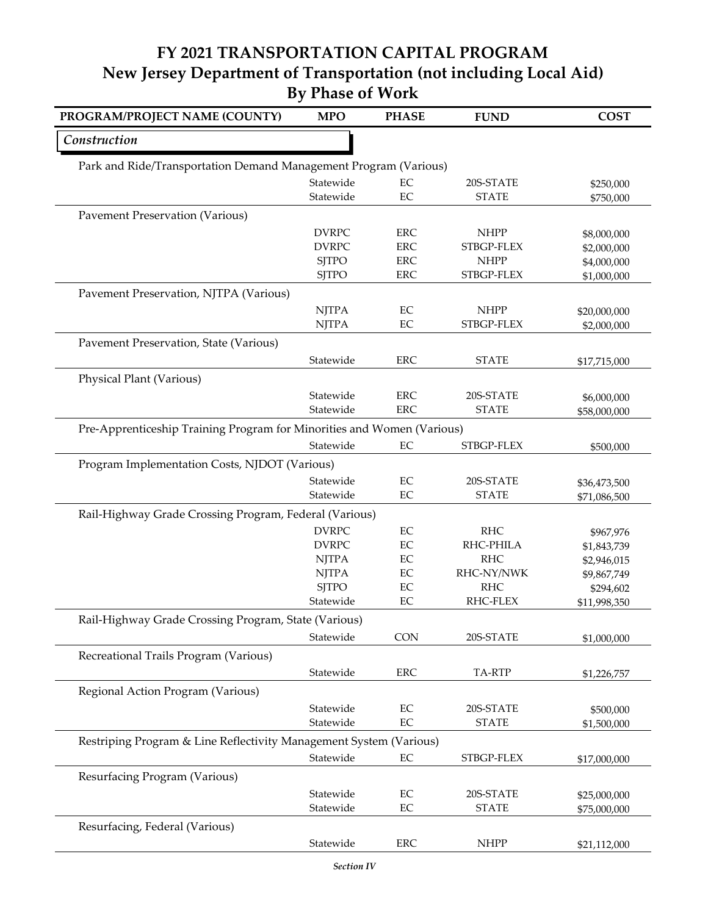| PROGRAM/PROJECT NAME (COUNTY)                                          | <b>MPO</b>                   | <b>PHASE</b>   | <b>FUND</b>             | <b>COST</b>                  |
|------------------------------------------------------------------------|------------------------------|----------------|-------------------------|------------------------------|
| Construction                                                           |                              |                |                         |                              |
| Park and Ride/Transportation Demand Management Program (Various)       |                              |                |                         |                              |
|                                                                        | Statewide                    | EC             | 20S-STATE               | \$250,000                    |
|                                                                        | Statewide                    | $\rm EC$       | <b>STATE</b>            | \$750,000                    |
| <b>Pavement Preservation (Various)</b>                                 |                              |                |                         |                              |
|                                                                        | <b>DVRPC</b>                 | <b>ERC</b>     | <b>NHPP</b>             | \$8,000,000                  |
|                                                                        | <b>DVRPC</b>                 | <b>ERC</b>     | STBGP-FLEX              | \$2,000,000                  |
|                                                                        | <b>SJTPO</b>                 | <b>ERC</b>     | <b>NHPP</b>             | \$4,000,000                  |
|                                                                        | <b>SJTPO</b>                 | <b>ERC</b>     | STBGP-FLEX              | \$1,000,000                  |
| Pavement Preservation, NJTPA (Various)                                 |                              |                |                         |                              |
|                                                                        | <b>NJTPA</b>                 | EC             | <b>NHPP</b>             | \$20,000,000                 |
|                                                                        | <b>NJTPA</b>                 | $\rm EC$       | STBGP-FLEX              | \$2,000,000                  |
| Pavement Preservation, State (Various)                                 |                              |                |                         |                              |
|                                                                        | Statewide                    | <b>ERC</b>     | <b>STATE</b>            | \$17,715,000                 |
| Physical Plant (Various)                                               |                              |                |                         |                              |
|                                                                        | Statewide                    | <b>ERC</b>     | 20S-STATE               | \$6,000,000                  |
|                                                                        | Statewide                    | <b>ERC</b>     | <b>STATE</b>            | \$58,000,000                 |
| Pre-Apprenticeship Training Program for Minorities and Women (Various) |                              |                |                         |                              |
|                                                                        | Statewide                    | EC             | STBGP-FLEX              | \$500,000                    |
| Program Implementation Costs, NJDOT (Various)                          |                              |                |                         |                              |
|                                                                        | Statewide                    | $\rm EC$       | 20S-STATE               |                              |
|                                                                        | Statewide                    | $\rm EC$       | <b>STATE</b>            | \$36,473,500<br>\$71,086,500 |
|                                                                        |                              |                |                         |                              |
| Rail-Highway Grade Crossing Program, Federal (Various)                 |                              |                |                         |                              |
|                                                                        | <b>DVRPC</b><br><b>DVRPC</b> | $\rm EC$<br>EC | <b>RHC</b><br>RHC-PHILA | \$967,976                    |
|                                                                        | <b>NJTPA</b>                 | $\rm EC$       | <b>RHC</b>              | \$1,843,739<br>\$2,946,015   |
|                                                                        | <b>NJTPA</b>                 | $\rm EC$       | RHC-NY/NWK              | \$9,867,749                  |
|                                                                        | <b>SJTPO</b>                 | $\rm EC$       | <b>RHC</b>              | \$294,602                    |
|                                                                        | Statewide                    | EC             | RHC-FLEX                | \$11,998,350                 |
| Rail-Highway Grade Crossing Program, State (Various)                   |                              |                |                         |                              |
|                                                                        | Statewide                    | <b>CON</b>     | 20S-STATE               | \$1,000,000                  |
| Recreational Trails Program (Various)                                  |                              |                |                         |                              |
|                                                                        | Statewide                    | <b>ERC</b>     | TA-RTP                  |                              |
|                                                                        |                              |                |                         | \$1,226,757                  |
| Regional Action Program (Various)                                      |                              |                |                         |                              |
|                                                                        | Statewide                    | $\rm EC$       | 20S-STATE               | \$500,000                    |
|                                                                        | Statewide                    | $\rm EC$       | <b>STATE</b>            | \$1,500,000                  |
| Restriping Program & Line Reflectivity Management System (Various)     |                              |                |                         |                              |
|                                                                        | Statewide                    | $\rm EC$       | STBGP-FLEX              | \$17,000,000                 |
| Resurfacing Program (Various)                                          |                              |                |                         |                              |
|                                                                        | Statewide                    | $\rm EC$       | 20S-STATE               | \$25,000,000                 |
|                                                                        | Statewide                    | $\rm EC$       | <b>STATE</b>            | \$75,000,000                 |
| Resurfacing, Federal (Various)                                         |                              |                |                         |                              |
|                                                                        | Statewide                    | <b>ERC</b>     | <b>NHPP</b>             | \$21,112,000                 |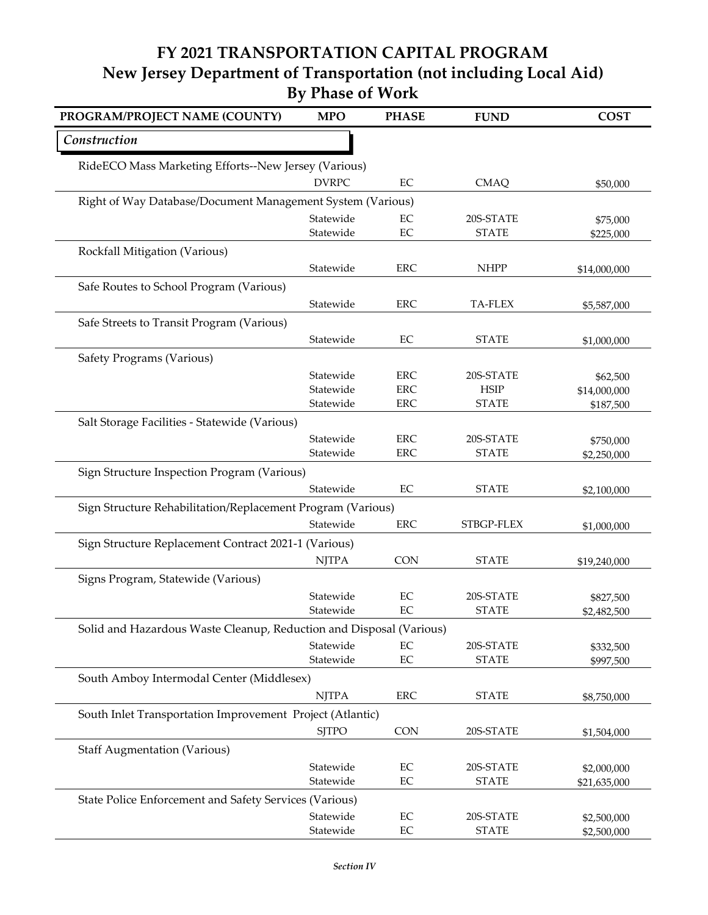| PROGRAM/PROJECT NAME (COUNTY)                                       | <b>MPO</b>             | <b>PHASE</b>             | <b>FUND</b>               | <b>COST</b>               |
|---------------------------------------------------------------------|------------------------|--------------------------|---------------------------|---------------------------|
| Construction                                                        |                        |                          |                           |                           |
| RideECO Mass Marketing Efforts--New Jersey (Various)                |                        |                          |                           |                           |
|                                                                     | <b>DVRPC</b>           | EC                       | <b>CMAQ</b>               | \$50,000                  |
| Right of Way Database/Document Management System (Various)          |                        |                          |                           |                           |
|                                                                     | Statewide              | EC                       | 20S-STATE                 | \$75,000                  |
|                                                                     | Statewide              | EC                       | <b>STATE</b>              | \$225,000                 |
| Rockfall Mitigation (Various)                                       |                        |                          |                           |                           |
|                                                                     | Statewide              | <b>ERC</b>               | <b>NHPP</b>               | \$14,000,000              |
| Safe Routes to School Program (Various)                             |                        |                          |                           |                           |
|                                                                     | Statewide              | <b>ERC</b>               | <b>TA-FLEX</b>            | \$5,587,000               |
| Safe Streets to Transit Program (Various)                           |                        |                          |                           |                           |
|                                                                     | Statewide              | EC                       | <b>STATE</b>              | \$1,000,000               |
|                                                                     |                        |                          |                           |                           |
| Safety Programs (Various)                                           |                        |                          |                           |                           |
|                                                                     | Statewide<br>Statewide | <b>ERC</b><br><b>ERC</b> | 20S-STATE<br><b>HSIP</b>  | \$62,500                  |
|                                                                     | Statewide              | <b>ERC</b>               | <b>STATE</b>              | \$14,000,000<br>\$187,500 |
| Salt Storage Facilities - Statewide (Various)                       |                        |                          |                           |                           |
|                                                                     |                        |                          |                           |                           |
|                                                                     | Statewide<br>Statewide | <b>ERC</b><br><b>ERC</b> | 20S-STATE<br><b>STATE</b> | \$750,000                 |
|                                                                     |                        |                          |                           | \$2,250,000               |
| Sign Structure Inspection Program (Various)                         |                        |                          |                           |                           |
|                                                                     | Statewide              | EC                       | <b>STATE</b>              | \$2,100,000               |
| Sign Structure Rehabilitation/Replacement Program (Various)         |                        |                          |                           |                           |
|                                                                     | Statewide              | <b>ERC</b>               | STBGP-FLEX                | \$1,000,000               |
| Sign Structure Replacement Contract 2021-1 (Various)                |                        |                          |                           |                           |
|                                                                     | <b>NJTPA</b>           | <b>CON</b>               | <b>STATE</b>              | \$19,240,000              |
| Signs Program, Statewide (Various)                                  |                        |                          |                           |                           |
|                                                                     | Statewide              | EC                       | 20S-STATE                 | \$827,500                 |
|                                                                     | Statewide              | $\rm EC$                 | <b>STATE</b>              | \$2,482,500               |
| Solid and Hazardous Waste Cleanup, Reduction and Disposal (Various) |                        |                          |                           |                           |
|                                                                     | Statewide              | EC                       | 20S-STATE                 | \$332,500                 |
|                                                                     | Statewide              | $\rm EC$                 | <b>STATE</b>              | \$997,500                 |
| South Amboy Intermodal Center (Middlesex)                           |                        |                          |                           |                           |
|                                                                     | <b>NJTPA</b>           | ${\rm ERC}$              | <b>STATE</b>              | \$8,750,000               |
| South Inlet Transportation Improvement Project (Atlantic)           |                        |                          |                           |                           |
|                                                                     | <b>SJTPO</b>           | <b>CON</b>               | 20S-STATE                 |                           |
|                                                                     |                        |                          |                           | \$1,504,000               |
| <b>Staff Augmentation (Various)</b>                                 |                        |                          |                           |                           |
|                                                                     | Statewide              | $\rm EC$<br>$\rm EC$     | 20S-STATE<br><b>STATE</b> | \$2,000,000               |
|                                                                     | Statewide              |                          |                           | \$21,635,000              |
| State Police Enforcement and Safety Services (Various)              |                        |                          |                           |                           |
|                                                                     | Statewide              | $\rm EC$                 | 20S-STATE                 | \$2,500,000               |
|                                                                     | Statewide              | $\rm EC$                 | <b>STATE</b>              | \$2,500,000               |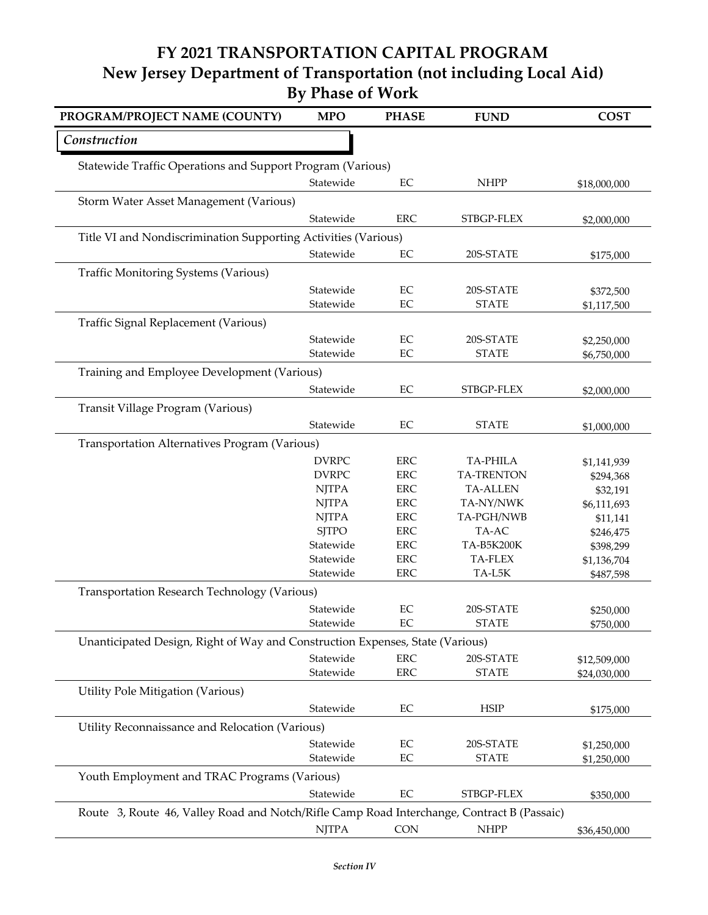| PROGRAM/PROJECT NAME (COUNTY)                                                              | <b>MPO</b>                                                            | <b>PHASE</b>   | <b>FUND</b>               | <b>COST</b>              |
|--------------------------------------------------------------------------------------------|-----------------------------------------------------------------------|----------------|---------------------------|--------------------------|
| Construction                                                                               |                                                                       |                |                           |                          |
| Statewide Traffic Operations and Support Program (Various)                                 |                                                                       |                |                           |                          |
|                                                                                            | Statewide                                                             | EC             | <b>NHPP</b>               | \$18,000,000             |
| Storm Water Asset Management (Various)                                                     |                                                                       |                |                           |                          |
|                                                                                            | Statewide                                                             | <b>ERC</b>     | STBGP-FLEX                | \$2,000,000              |
| Title VI and Nondiscrimination Supporting Activities (Various)                             |                                                                       |                |                           |                          |
|                                                                                            | Statewide                                                             | EC             | 20S-STATE                 | \$175,000                |
| <b>Traffic Monitoring Systems (Various)</b>                                                |                                                                       |                |                           |                          |
|                                                                                            |                                                                       |                |                           |                          |
|                                                                                            | Statewide<br>Statewide                                                | $\rm EC$<br>EC | 20S-STATE<br><b>STATE</b> | \$372,500                |
|                                                                                            |                                                                       |                |                           | \$1,117,500              |
| Traffic Signal Replacement (Various)                                                       |                                                                       |                |                           |                          |
|                                                                                            | Statewide                                                             | EC             | 20S-STATE                 | \$2,250,000              |
|                                                                                            | Statewide                                                             | EC             | <b>STATE</b>              | \$6,750,000              |
| Training and Employee Development (Various)                                                |                                                                       |                |                           |                          |
|                                                                                            | Statewide                                                             | EC             | STBGP-FLEX                | \$2,000,000              |
| Transit Village Program (Various)                                                          |                                                                       |                |                           |                          |
|                                                                                            | Statewide                                                             | $\rm EC$       | <b>STATE</b>              | \$1,000,000              |
| Transportation Alternatives Program (Various)                                              |                                                                       |                |                           |                          |
|                                                                                            | <b>DVRPC</b>                                                          | <b>ERC</b>     | <b>TA-PHILA</b>           |                          |
|                                                                                            | <b>DVRPC</b>                                                          | <b>ERC</b>     | <b>TA-TRENTON</b>         | \$1,141,939<br>\$294,368 |
|                                                                                            | <b>NJTPA</b>                                                          | <b>ERC</b>     | <b>TA-ALLEN</b>           | \$32,191                 |
|                                                                                            | <b>NJTPA</b>                                                          | <b>ERC</b>     | TA-NY/NWK                 | \$6,111,693              |
|                                                                                            | <b>NJTPA</b>                                                          | <b>ERC</b>     | TA-PGH/NWB                | \$11,141                 |
|                                                                                            | <b>SJTPO</b>                                                          | <b>ERC</b>     | TA-AC                     | \$246,475                |
|                                                                                            | Statewide                                                             | <b>ERC</b>     | TA-B5K200K                | \$398,299                |
|                                                                                            | Statewide                                                             | <b>ERC</b>     | TA-FLEX                   | \$1,136,704              |
|                                                                                            | Statewide                                                             | <b>ERC</b>     | TA-L5K                    | \$487,598                |
| Transportation Research Technology (Various)                                               |                                                                       |                |                           |                          |
|                                                                                            | Statewide                                                             | EC             | 20S-STATE                 | \$250,000                |
|                                                                                            | Statewide                                                             | EC             | <b>STATE</b>              | \$750,000                |
| Unanticipated Design, Right of Way and Construction Expenses, State (Various)              |                                                                       |                |                           |                          |
|                                                                                            | Statewide                                                             | <b>ERC</b>     | 20S-STATE                 | \$12,509,000             |
|                                                                                            | Statewide                                                             | <b>ERC</b>     | <b>STATE</b>              | \$24,030,000             |
| Utility Pole Mitigation (Various)                                                          |                                                                       |                |                           |                          |
|                                                                                            | Statewide                                                             | EC             | <b>HSIP</b>               | \$175,000                |
|                                                                                            |                                                                       |                |                           |                          |
| Utility Reconnaissance and Relocation (Various)                                            |                                                                       |                |                           |                          |
|                                                                                            | Statewide                                                             | EC             | 20S-STATE                 | \$1,250,000              |
|                                                                                            | Statewide                                                             | $\rm EC$       | <b>STATE</b>              | \$1,250,000              |
| Youth Employment and TRAC Programs (Various)                                               |                                                                       |                |                           |                          |
|                                                                                            | Statewide                                                             | $\rm EC$       | STBGP-FLEX                | \$350,000                |
| Route 3, Route 46, Valley Road and Notch/Rifle Camp Road Interchange, Contract B (Passaic) |                                                                       |                |                           |                          |
|                                                                                            | $\ensuremath{\mathrm{N} \mathrm{J} \mathrm{T} \mathrm{P} \mathrm{A}}$ | <b>CON</b>     | <b>NHPP</b>               | \$36,450,000             |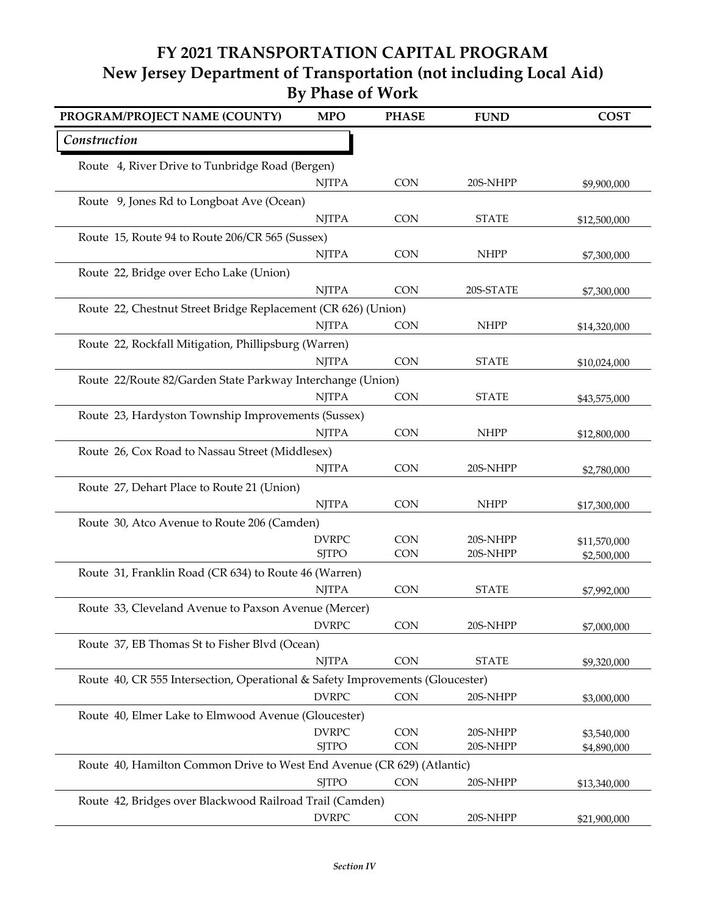| PROGRAM/PROJECT NAME (COUNTY)                                                 | <b>MPO</b>   | <b>PHASE</b> | <b>FUND</b>  | <b>COST</b>  |
|-------------------------------------------------------------------------------|--------------|--------------|--------------|--------------|
| Construction                                                                  |              |              |              |              |
| Route 4, River Drive to Tunbridge Road (Bergen)                               |              |              |              |              |
|                                                                               | <b>NJTPA</b> | <b>CON</b>   | 20S-NHPP     | \$9,900,000  |
| Route 9, Jones Rd to Longboat Ave (Ocean)                                     |              |              |              |              |
|                                                                               | <b>NJTPA</b> | CON          | <b>STATE</b> | \$12,500,000 |
| Route 15, Route 94 to Route 206/CR 565 (Sussex)                               |              |              |              |              |
|                                                                               | <b>NJTPA</b> | <b>CON</b>   | <b>NHPP</b>  | \$7,300,000  |
| Route 22, Bridge over Echo Lake (Union)                                       |              |              |              |              |
|                                                                               | <b>NJTPA</b> | <b>CON</b>   | 20S-STATE    | \$7,300,000  |
| Route 22, Chestnut Street Bridge Replacement (CR 626) (Union)                 |              |              |              |              |
|                                                                               | <b>NJTPA</b> | <b>CON</b>   | <b>NHPP</b>  | \$14,320,000 |
| Route 22, Rockfall Mitigation, Phillipsburg (Warren)                          |              |              |              |              |
|                                                                               | <b>NJTPA</b> | <b>CON</b>   | <b>STATE</b> | \$10,024,000 |
| Route 22/Route 82/Garden State Parkway Interchange (Union)                    |              |              |              |              |
|                                                                               | <b>NJTPA</b> | <b>CON</b>   | <b>STATE</b> | \$43,575,000 |
| Route 23, Hardyston Township Improvements (Sussex)                            |              |              |              |              |
|                                                                               | <b>NJTPA</b> | <b>CON</b>   | <b>NHPP</b>  | \$12,800,000 |
| Route 26, Cox Road to Nassau Street (Middlesex)                               |              |              |              |              |
|                                                                               | <b>NJTPA</b> | <b>CON</b>   | 20S-NHPP     | \$2,780,000  |
| Route 27, Dehart Place to Route 21 (Union)                                    |              |              |              |              |
|                                                                               | <b>NJTPA</b> | <b>CON</b>   | <b>NHPP</b>  | \$17,300,000 |
| Route 30, Atco Avenue to Route 206 (Camden)                                   |              |              |              |              |
|                                                                               | <b>DVRPC</b> | <b>CON</b>   | 20S-NHPP     | \$11,570,000 |
|                                                                               | <b>SJTPO</b> | CON          | 20S-NHPP     | \$2,500,000  |
| Route 31, Franklin Road (CR 634) to Route 46 (Warren)                         |              |              |              |              |
|                                                                               | <b>NJTPA</b> | <b>CON</b>   | <b>STATE</b> | \$7,992,000  |
| Route 33, Cleveland Avenue to Paxson Avenue (Mercer)                          |              |              |              |              |
|                                                                               | <b>DVRPC</b> | <b>CON</b>   | 20S-NHPP     | \$7,000,000  |
| Route 37, EB Thomas St to Fisher Blvd (Ocean)                                 |              |              |              |              |
|                                                                               | <b>NJTPA</b> | CON          | <b>STATE</b> | \$9,320,000  |
| Route 40, CR 555 Intersection, Operational & Safety Improvements (Gloucester) |              |              |              |              |
|                                                                               | <b>DVRPC</b> | <b>CON</b>   | 20S-NHPP     | \$3,000,000  |
| Route 40, Elmer Lake to Elmwood Avenue (Gloucester)                           |              |              |              |              |
|                                                                               | <b>DVRPC</b> | <b>CON</b>   | 20S-NHPP     | \$3,540,000  |
|                                                                               | <b>SJTPO</b> | <b>CON</b>   | 20S-NHPP     | \$4,890,000  |
| Route 40, Hamilton Common Drive to West End Avenue (CR 629) (Atlantic)        |              |              |              |              |
|                                                                               | <b>SJTPO</b> | <b>CON</b>   | 20S-NHPP     | \$13,340,000 |
| Route 42, Bridges over Blackwood Railroad Trail (Camden)                      |              |              |              |              |
|                                                                               | <b>DVRPC</b> | CON          | 20S-NHPP     | \$21,900,000 |